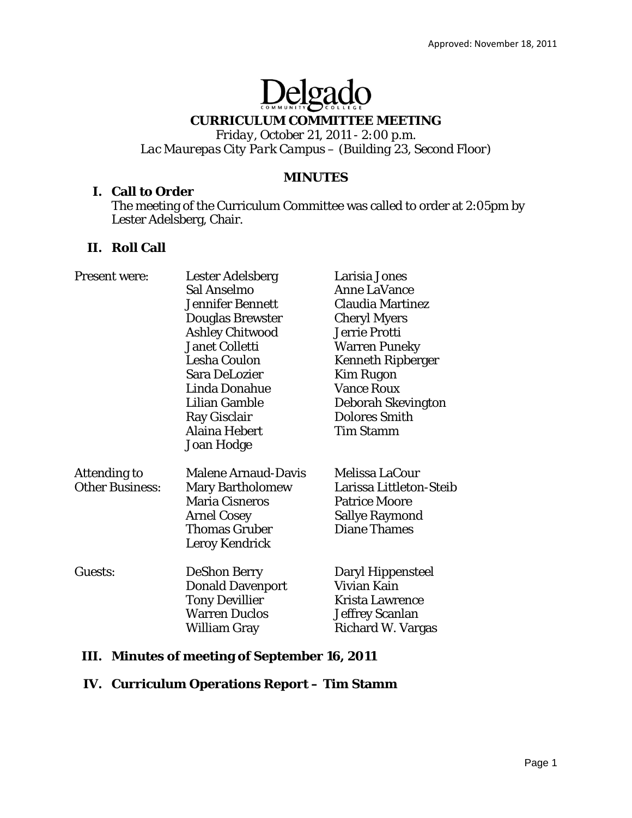# Delgado

# **CURRICULUM COMMITTEE MEETING**

*Friday, October 21, 2011 - 2:00 p.m. Lac Maurepas City Park Campus – (Building 23, Second Floor)* 

## **MINUTES**

## **I. Call to Order**

The meeting of the Curriculum Committee was called to order at 2:05pm by Lester Adelsberg, Chair.

# **II. Roll Call**

| <b>Present were:</b>   | <b>Lester Adelsberg</b>    | Larisia Jones            |
|------------------------|----------------------------|--------------------------|
|                        | Sal Anselmo                | <b>Anne LaVance</b>      |
|                        | <b>Jennifer Bennett</b>    | <b>Claudia Martinez</b>  |
|                        | <b>Douglas Brewster</b>    | <b>Cheryl Myers</b>      |
|                        | <b>Ashley Chitwood</b>     | Jerrie Protti            |
|                        | Janet Colletti             | <b>Warren Puneky</b>     |
|                        | <b>Lesha Coulon</b>        | <b>Kenneth Ripberger</b> |
|                        | Sara DeLozier              | <b>Kim Rugon</b>         |
|                        | Linda Donahue              | <b>Vance Roux</b>        |
|                        | Lilian Gamble              | Deborah Skevington       |
|                        | Ray Gisclair               | <b>Dolores Smith</b>     |
|                        | <b>Alaina Hebert</b>       | <b>Tim Stamm</b>         |
|                        | <b>Joan Hodge</b>          |                          |
| <b>Attending to</b>    | <b>Malene Arnaud-Davis</b> | Melissa LaCour           |
| <b>Other Business:</b> | <b>Mary Bartholomew</b>    | Larissa Littleton-Steib  |
|                        | <b>Maria Cisneros</b>      | <b>Patrice Moore</b>     |
|                        | <b>Arnel Cosey</b>         | <b>Sallye Raymond</b>    |
|                        | <b>Thomas Gruber</b>       | <b>Diane Thames</b>      |
|                        | Leroy Kendrick             |                          |
| Guests:                | <b>DeShon Berry</b>        | Daryl Hippensteel        |
|                        | <b>Donald Davenport</b>    | Vivian Kain              |
|                        | <b>Tony Devillier</b>      | <b>Krista Lawrence</b>   |
|                        | <b>Warren Duclos</b>       | Jeffrey Scanlan          |
|                        | William Gray               | Richard W. Vargas        |
|                        |                            |                          |

# **III. Minutes of meeting of September 16, 2011**

# **IV. Curriculum Operations Report – Tim Stamm**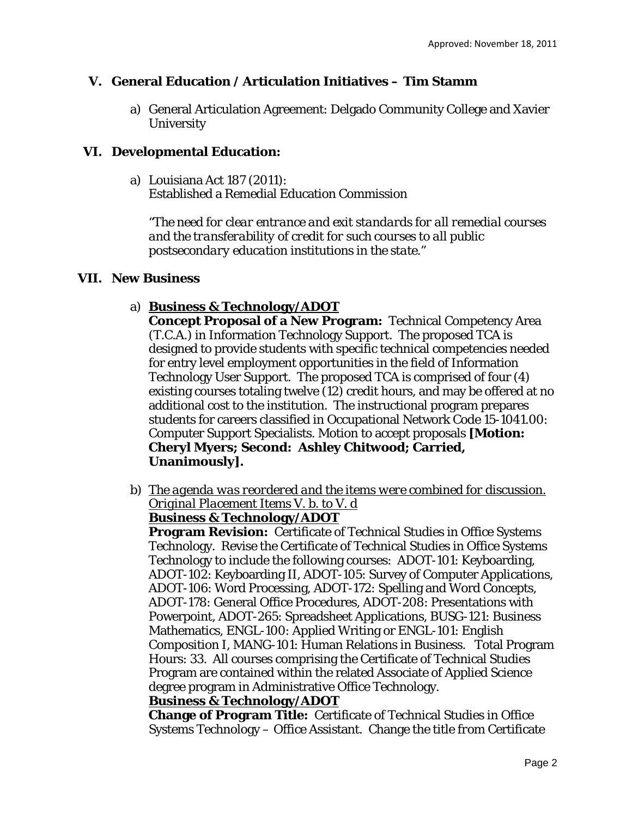# **V. General Education / Articulation Initiatives – Tim Stamm**

a) General Articulation Agreement: Delgado Community College and Xavier **University** 

## **VI. Developmental Education:**

a) Louisiana Act 187 (2011): Established a Remedial Education Commission

*"The need for clear entrance and exit standards for all remedial courses and the transferability of credit for such courses to all public postsecondary education institutions in the state."*

## **VII. New Business**

# a) **Business & Technology/ADOT**

**Concept Proposal of a New Program:** Technical Competency Area (T.C.A.) in Information Technology Support. The proposed TCA is designed to provide students with specific technical competencies needed for entry level employment opportunities in the field of Information Technology User Support. The proposed TCA is comprised of four (4) existing courses totaling twelve (12) credit hours, and may be offered at no additional cost to the institution. The instructional program prepares students for careers classified in Occupational Network Code 15-1041.00: Computer Support Specialists. Motion to accept proposals **[Motion: Cheryl Myers; Second: Ashley Chitwood; Carried, Unanimously].** 

b) *The agenda was reordered and the items were combined for discussion. Original Placement Items V. b. to V. d* 

## **Business & Technology/ADOT**

**Program Revision:** Certificate of Technical Studies in Office Systems Technology. Revise the Certificate of Technical Studies in Office Systems Technology to include the following courses: ADOT-101: Keyboarding, ADOT-102: Keyboarding II, ADOT-105: Survey of Computer Applications, ADOT-106: Word Processing, ADOT-172: Spelling and Word Concepts, ADOT-178: General Office Procedures, ADOT-208: Presentations with Powerpoint, ADOT-265: Spreadsheet Applications, BUSG-121: Business Mathematics, ENGL-100: Applied Writing or ENGL-101: English Composition I, MANG-101: Human Relations in Business. Total Program Hours: 33. All courses comprising the Certificate of Technical Studies Program are contained within the related Associate of Applied Science degree program in Administrative Office Technology.

## **Business & Technology/ADOT**

**Change of Program Title:** Certificate of Technical Studies in Office Systems Technology – Office Assistant. Change the title *from* Certificate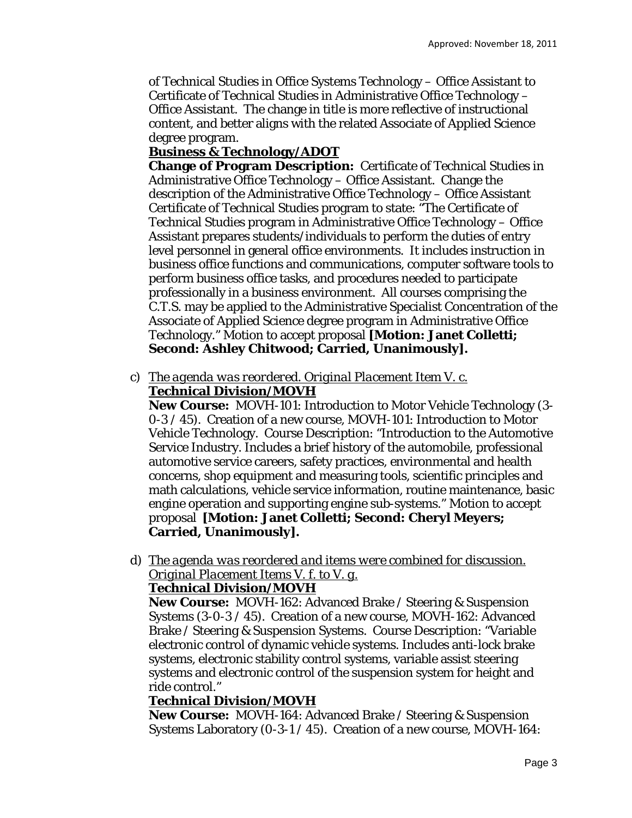of Technical Studies in Office Systems Technology – Office Assistant *to* Certificate of Technical Studies in Administrative Office Technology – Office Assistant. The change in title is more reflective of instructional content, and better aligns with the related Associate of Applied Science degree program.

# **Business & Technology/ADOT**

**Change of Program Description:** Certificate of Technical Studies in Administrative Office Technology – Office Assistant. Change the description of the Administrative Office Technology – Office Assistant Certificate of Technical Studies program to state: "The Certificate of Technical Studies program in Administrative Office Technology – Office Assistant prepares students/individuals to perform the duties of entry level personnel in general office environments. It includes instruction in business office functions and communications, computer software tools to perform business office tasks, and procedures needed to participate professionally in a business environment. All courses comprising the C.T.S. may be applied to the Administrative Specialist Concentration of the Associate of Applied Science degree program in Administrative Office Technology." Motion to accept proposal **[Motion: Janet Colletti; Second: Ashley Chitwood; Carried, Unanimously].**

c) *The agenda was reordered. Original Placement Item V. c.*  **Technical Division/MOVH** 

**New Course:** MOVH-101: Introduction to Motor Vehicle Technology (3- 0-3 / 45). Creation of a new course, MOVH-101: Introduction to Motor Vehicle Technology. Course Description: "Introduction to the Automotive Service Industry. Includes a brief history of the automobile, professional automotive service careers, safety practices, environmental and health concerns, shop equipment and measuring tools, scientific principles and math calculations, vehicle service information, routine maintenance, basic engine operation and supporting engine sub-systems." Motion to accept proposal **[Motion: Janet Colletti; Second: Cheryl Meyers; Carried, Unanimously].**

d) *The agenda was reordered and items were combined for discussion. Original Placement Items V. f. to V. g.*  **Technical Division/MOVH** 

**New Course:** MOVH-162: Advanced Brake / Steering & Suspension Systems (3-0-3 / 45). Creation of a new course, MOVH-162: Advanced Brake / Steering & Suspension Systems. Course Description: "Variable electronic control of dynamic vehicle systems. Includes anti-lock brake systems, electronic stability control systems, variable assist steering systems and electronic control of the suspension system for height and ride control."

# **Technical Division/MOVH**

**New Course:** MOVH-164: Advanced Brake / Steering & Suspension Systems Laboratory (0-3-1 / 45). Creation of a new course, MOVH-164: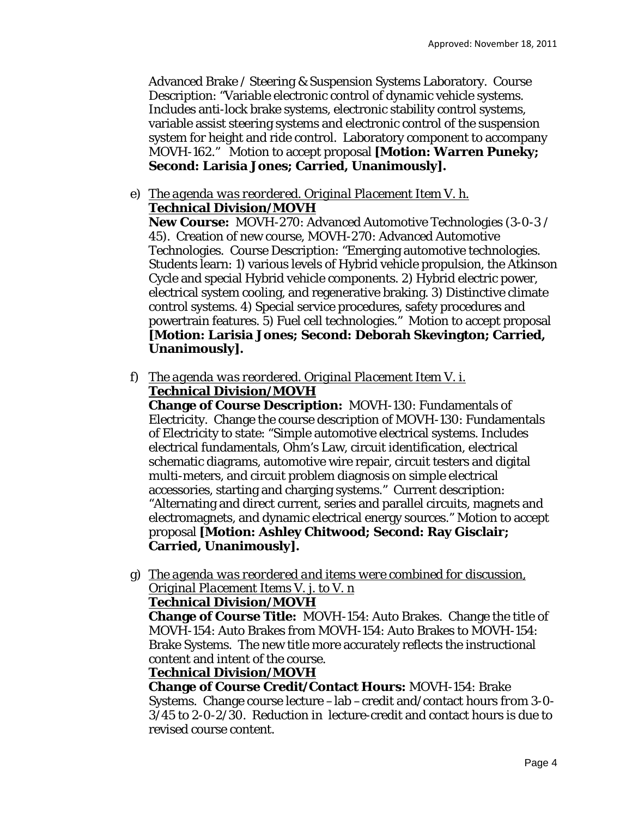Advanced Brake / Steering & Suspension Systems Laboratory. Course Description: "Variable electronic control of dynamic vehicle systems. Includes anti-lock brake systems, electronic stability control systems, variable assist steering systems and electronic control of the suspension system for height and ride control. Laboratory component to accompany MOVH-162." Motion to accept proposal **[Motion: Warren Puneky; Second: Larisia Jones; Carried, Unanimously].**

e) *The agenda was reordered. Original Placement Item V. h.*  **Technical Division/MOVH** 

**New Course:** MOVH-270: Advanced Automotive Technologies (3-0-3 / 45). Creation of new course, MOVH-270: Advanced Automotive Technologies. Course Description: "Emerging automotive technologies. Students learn: 1) various levels of Hybrid vehicle propulsion, the Atkinson Cycle and special Hybrid vehicle components. 2) Hybrid electric power, electrical system cooling, and regenerative braking. 3) Distinctive climate control systems. 4) Special service procedures, safety procedures and powertrain features. 5) Fuel cell technologies." Motion to accept proposal **[Motion: Larisia Jones; Second: Deborah Skevington; Carried, Unanimously].**

f) *The agenda was reordered. Original Placement Item V. i.*  **Technical Division/MOVH** 

**Change of Course Description:** MOVH-130: Fundamentals of Electricity. Change the course description of MOVH-130: Fundamentals of Electricity to state: "Simple automotive electrical systems. Includes electrical fundamentals, Ohm's Law, circuit identification, electrical schematic diagrams, automotive wire repair, circuit testers and digital multi-meters, and circuit problem diagnosis on simple electrical accessories, starting and charging systems." Current description: "Alternating and direct current, series and parallel circuits, magnets and electromagnets, and dynamic electrical energy sources." Motion to accept proposal **[Motion: Ashley Chitwood; Second: Ray Gisclair; Carried, Unanimously].**

g) *The agenda was reordered and items were combined for discussion, Original Placement Items V. j. to V. n* 

## **Technical Division/MOVH**

**Change of Course Title:** MOVH-154: Auto Brakes. Change the title of MOVH-154: Auto Brakes *from* MOVH-154: Auto Brakes *to* MOVH-154: Brake Systems. The new title more accurately reflects the instructional content and intent of the course.

# **Technical Division/MOVH**

**Change of Course Credit/Contact Hours:** MOVH-154: Brake Systems. Change course lecture –lab –credit and/contact hours *from* 3-0- 3/45 *to* 2-0-2/30. Reduction in lecture-credit and contact hours is due to revised course content.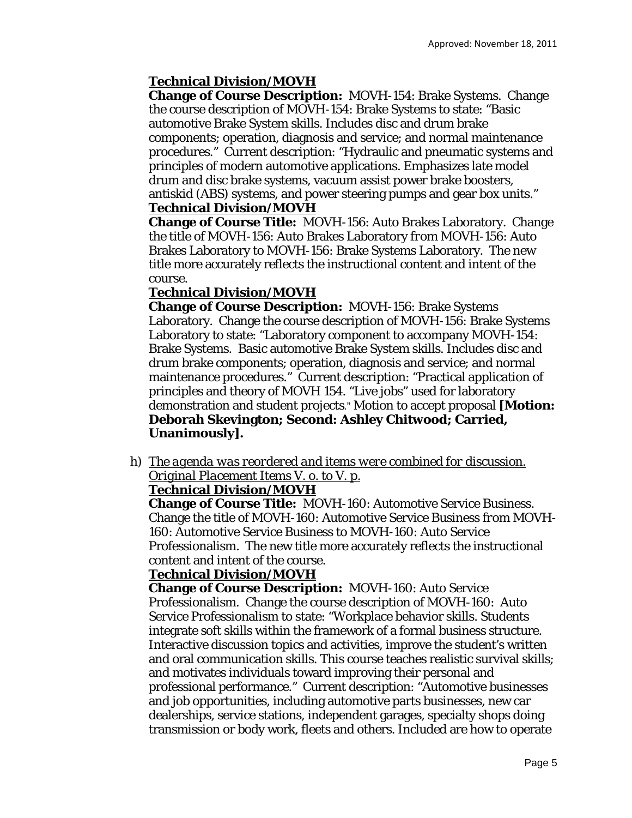# **Technical Division/MOVH**

**Change of Course Description:** MOVH-154: Brake Systems. Change the course description of MOVH-154: Brake Systems to state: "Basic automotive Brake System skills. Includes disc and drum brake components; operation, diagnosis and service; and normal maintenance procedures." Current description: "Hydraulic and pneumatic systems and principles of modern automotive applications. Emphasizes late model drum and disc brake systems, vacuum assist power brake boosters, antiskid (ABS) systems, and power steering pumps and gear box units." **Technical Division/MOVH** 

**Change of Course Title:** MOVH-156: Auto Brakes Laboratory. Change the title of MOVH-156: Auto Brakes Laboratory *from* MOVH-156: Auto Brakes Laboratory *to* MOVH-156: Brake Systems Laboratory. The new title more accurately reflects the instructional content and intent of the course.

# **Technical Division/MOVH**

**Change of Course Description:** MOVH-156: Brake Systems Laboratory. Change the course description of MOVH-156: Brake Systems Laboratory to state: "Laboratory component to accompany MOVH-154: Brake Systems. Basic automotive Brake System skills. Includes disc and drum brake components; operation, diagnosis and service; and normal maintenance procedures." Current description: "Practical application of principles and theory of MOVH 154. "Live jobs" used for laboratory demonstration and student projects." Motion to accept proposal **[Motion: Deborah Skevington; Second: Ashley Chitwood; Carried, Unanimously].**

h) *The agenda was reordered and items were combined for discussion. Original Placement Items V. o. to V. p.* 

# **Technical Division/MOVH**

**Change of Course Title:** MOVH-160: Automotive Service Business. Change the title of MOVH-160: Automotive Service Business *from* MOVH-160: Automotive Service Business *to* MOVH-160: Auto Service Professionalism. The new title more accurately reflects the instructional content and intent of the course.

# **Technical Division/MOVH**

**Change of Course Description:** MOVH-160: Auto Service Professionalism. Change the course description of MOVH-160: Auto Service Professionalism to state: "Workplace behavior skills. Students integrate soft skills within the framework of a formal business structure. Interactive discussion topics and activities, improve the student's written and oral communication skills. This course teaches realistic survival skills; and motivates individuals toward improving their personal and professional performance." Current description: "Automotive businesses and job opportunities, including automotive parts businesses, new car dealerships, service stations, independent garages, specialty shops doing transmission or body work, fleets and others. Included are how to operate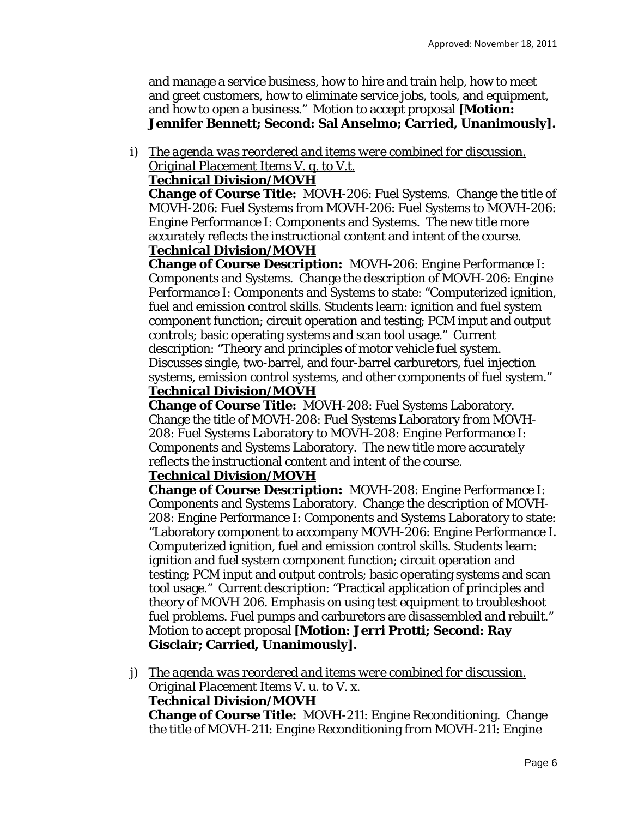and manage a service business, how to hire and train help, how to meet and greet customers, how to eliminate service jobs, tools, and equipment, and how to open a business." Motion to accept proposal **[Motion: Jennifer Bennett; Second: Sal Anselmo; Carried, Unanimously].**

i) *The agenda was reordered and items were combined for discussion. Original Placement Items V. q. to V.t.* 

## **Technical Division/MOVH**

**Change of Course Title:** MOVH-206: Fuel Systems. Change the title of MOVH-206: Fuel Systems *from* MOVH-206: Fuel Systems *to* MOVH-206: Engine Performance I: Components and Systems. The new title more accurately reflects the instructional content and intent of the course.

# **Technical Division/MOVH**

**Change of Course Description:** MOVH-206: Engine Performance I: Components and Systems. Change the description of MOVH-206: Engine Performance I: Components and Systems to state: "Computerized ignition, fuel and emission control skills. Students learn: ignition and fuel system component function; circuit operation and testing; PCM input and output controls; basic operating systems and scan tool usage." Current description: "Theory and principles of motor vehicle fuel system. Discusses single, two-barrel, and four-barrel carburetors, fuel injection systems, emission control systems, and other components of fuel system." **Technical Division/MOVH** 

**Change of Course Title:** MOVH-208: Fuel Systems Laboratory. Change the title of MOVH-208: Fuel Systems Laboratory *from* MOVH-208: Fuel Systems Laboratory *to* MOVH-208: Engine Performance I: Components and Systems Laboratory. The new title more accurately reflects the instructional content and intent of the course.

# **Technical Division/MOVH**

**Change of Course Description:** MOVH-208: Engine Performance I: Components and Systems Laboratory. Change the description of MOVH-208: Engine Performance I: Components and Systems Laboratory to state: "Laboratory component to accompany MOVH-206: Engine Performance I. Computerized ignition, fuel and emission control skills. Students learn: ignition and fuel system component function; circuit operation and testing; PCM input and output controls; basic operating systems and scan tool usage." Current description: "Practical application of principles and theory of MOVH 206. Emphasis on using test equipment to troubleshoot fuel problems. Fuel pumps and carburetors are disassembled and rebuilt." Motion to accept proposal **[Motion: Jerri Protti; Second: Ray Gisclair; Carried, Unanimously].**

j) *The agenda was reordered and items were combined for discussion. Original Placement Items V. u. to V. x.* 

## **Technical Division/MOVH**

**Change of Course Title:** MOVH-211: Engine Reconditioning. Change the title of MOVH-211: Engine Reconditioning *from* MOVH-211: Engine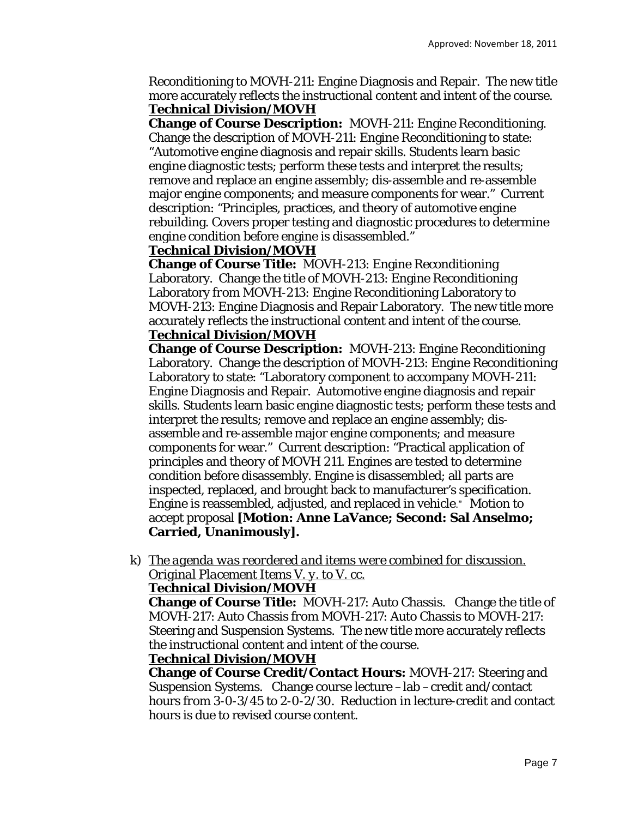Reconditioning *to* MOVH-211: Engine Diagnosis and Repair. The new title more accurately reflects the instructional content and intent of the course. **Technical Division/MOVH** 

**Change of Course Description:** MOVH-211: Engine Reconditioning. Change the description of MOVH-211: Engine Reconditioning to state: "Automotive engine diagnosis and repair skills. Students learn basic engine diagnostic tests; perform these tests and interpret the results; remove and replace an engine assembly; dis-assemble and re-assemble major engine components; and measure components for wear." Current description: "Principles, practices, and theory of automotive engine rebuilding. Covers proper testing and diagnostic procedures to determine engine condition before engine is disassembled."

## **Technical Division/MOVH**

**Change of Course Title:** MOVH-213: Engine Reconditioning Laboratory. Change the title of MOVH-213: Engine Reconditioning Laboratory *from* MOVH-213: Engine Reconditioning Laboratory *to* MOVH-213: Engine Diagnosis and Repair Laboratory. The new title more accurately reflects the instructional content and intent of the course. **Technical Division/MOVH** 

**Change of Course Description:** MOVH-213: Engine Reconditioning Laboratory. Change the description of MOVH-213: Engine Reconditioning Laboratory to state: "Laboratory component to accompany MOVH-211: Engine Diagnosis and Repair. Automotive engine diagnosis and repair skills. Students learn basic engine diagnostic tests; perform these tests and interpret the results; remove and replace an engine assembly; disassemble and re-assemble major engine components; and measure components for wear." Current description: "Practical application of principles and theory of MOVH 211. Engines are tested to determine condition before disassembly. Engine is disassembled; all parts are inspected, replaced, and brought back to manufacturer's specification. Engine is reassembled, adjusted, and replaced in vehicle." Motion to accept proposal **[Motion: Anne LaVance; Second: Sal Anselmo; Carried, Unanimously].**

k) *The agenda was reordered and items were combined for discussion. Original Placement Items V. y. to V. cc.* 

# **Technical Division/MOVH**

**Change of Course Title:** MOVH-217: Auto Chassis. Change the title of MOVH-217: Auto Chassis *from* MOVH-217: Auto Chassis *to* MOVH-217: Steering and Suspension Systems. The new title more accurately reflects the instructional content and intent of the course.

## **Technical Division/MOVH**

**Change of Course Credit/Contact Hours:** MOVH-217: Steering and Suspension Systems. Change course lecture –lab –credit and/contact hours *from* 3-0-3/45 *to* 2-0-2/30. Reduction in lecture-credit and contact hours is due to revised course content.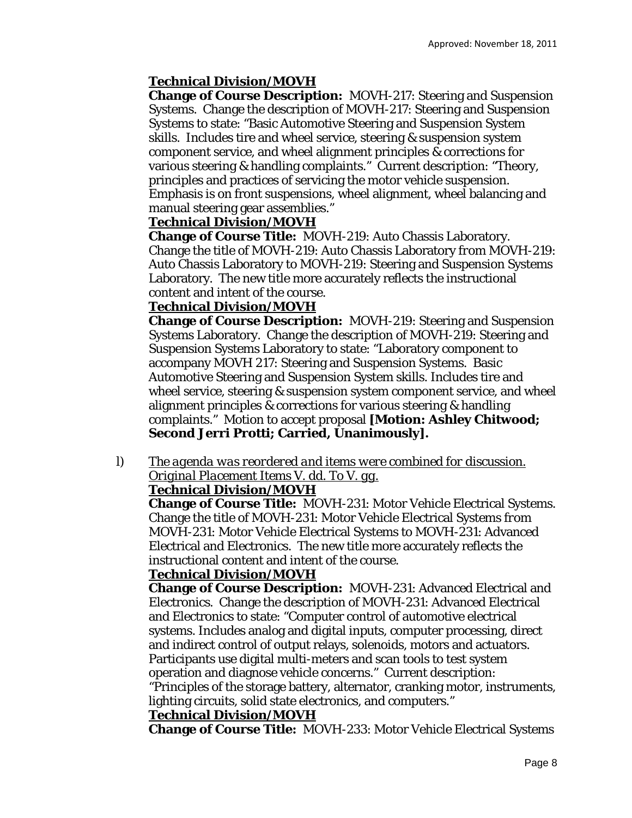# **Technical Division/MOVH**

**Change of Course Description:** MOVH-217: Steering and Suspension Systems. Change the description of MOVH-217: Steering and Suspension Systems to state: "Basic Automotive Steering and Suspension System skills. Includes tire and wheel service, steering & suspension system component service, and wheel alignment principles & corrections for various steering & handling complaints." Current description: "Theory, principles and practices of servicing the motor vehicle suspension. Emphasis is on front suspensions, wheel alignment, wheel balancing and manual steering gear assemblies."

# **Technical Division/MOVH**

**Change of Course Title:** MOVH-219: Auto Chassis Laboratory. Change the title of MOVH-219: Auto Chassis Laboratory *from* MOVH-219: Auto Chassis Laboratory *to* MOVH-219: Steering and Suspension Systems Laboratory. The new title more accurately reflects the instructional content and intent of the course.

## **Technical Division/MOVH**

**Change of Course Description:** MOVH-219: Steering and Suspension Systems Laboratory. Change the description of MOVH-219: Steering and Suspension Systems Laboratory to state: "Laboratory component to accompany MOVH 217: Steering and Suspension Systems. Basic Automotive Steering and Suspension System skills. Includes tire and wheel service, steering & suspension system component service, and wheel alignment principles & corrections for various steering & handling complaints." Motion to accept proposal **[Motion: Ashley Chitwood; Second Jerri Protti; Carried, Unanimously].**

l) *The agenda was reordered and items were combined for discussion. Original Placement Items V. dd. To V. gg.* 

## **Technical Division/MOVH**

**Change of Course Title:** MOVH-231: Motor Vehicle Electrical Systems. Change the title of MOVH-231: Motor Vehicle Electrical Systems *from* MOVH-231: Motor Vehicle Electrical Systems *to* MOVH-231: Advanced Electrical and Electronics. The new title more accurately reflects the instructional content and intent of the course.

## **Technical Division/MOVH**

**Change of Course Description:** MOVH-231: Advanced Electrical and Electronics. Change the description of MOVH-231: Advanced Electrical and Electronics to state: "Computer control of automotive electrical systems. Includes analog and digital inputs, computer processing, direct and indirect control of output relays, solenoids, motors and actuators. Participants use digital multi-meters and scan tools to test system operation and diagnose vehicle concerns." Current description: "Principles of the storage battery, alternator, cranking motor, instruments,

lighting circuits, solid state electronics, and computers."

## **Technical Division/MOVH**

**Change of Course Title:** MOVH-233: Motor Vehicle Electrical Systems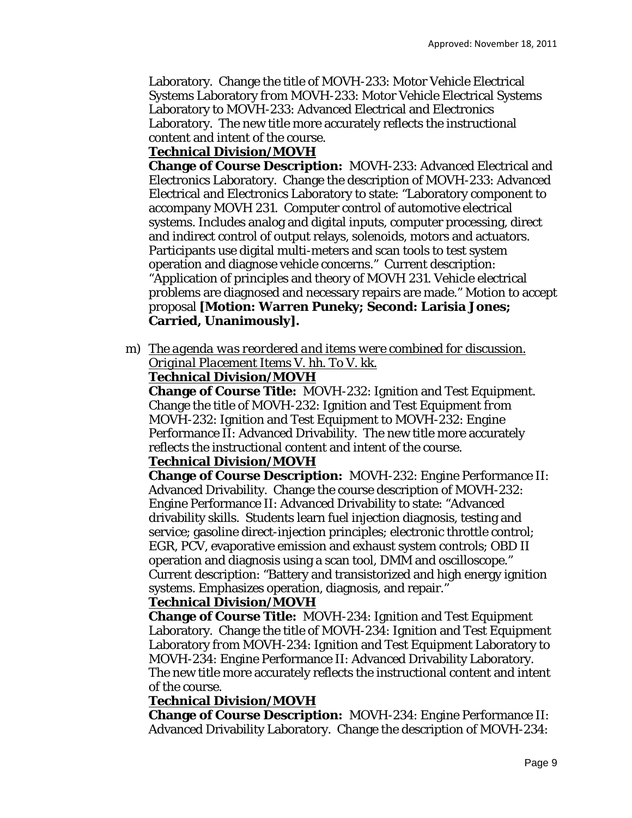Laboratory. Change the title of MOVH-233: Motor Vehicle Electrical Systems Laboratory *from* MOVH-233: Motor Vehicle Electrical Systems Laboratory *to* MOVH-233: Advanced Electrical and Electronics Laboratory. The new title more accurately reflects the instructional content and intent of the course.

# **Technical Division/MOVH**

**Change of Course Description:** MOVH-233: Advanced Electrical and Electronics Laboratory. Change the description of MOVH-233: Advanced Electrical and Electronics Laboratory to state: "Laboratory component to accompany MOVH 231. Computer control of automotive electrical systems. Includes analog and digital inputs, computer processing, direct and indirect control of output relays, solenoids, motors and actuators. Participants use digital multi-meters and scan tools to test system operation and diagnose vehicle concerns." Current description: "Application of principles and theory of MOVH 231. Vehicle electrical problems are diagnosed and necessary repairs are made." Motion to accept proposal **[Motion: Warren Puneky; Second: Larisia Jones; Carried, Unanimously].**

m) *The agenda was reordered and items were combined for discussion. Original Placement Items V. hh. To V. kk.* 

# **Technical Division/MOVH**

**Change of Course Title:** MOVH-232: Ignition and Test Equipment. Change the title of MOVH-232: Ignition and Test Equipment *from* MOVH-232: Ignition and Test Equipment *to* MOVH-232: Engine Performance II: Advanced Drivability. The new title more accurately reflects the instructional content and intent of the course.

# **Technical Division/MOVH**

**Change of Course Description:** MOVH-232: Engine Performance II: Advanced Drivability. Change the course description of MOVH-232: Engine Performance II: Advanced Drivability to state: "Advanced drivability skills. Students learn fuel injection diagnosis, testing and service; gasoline direct-injection principles; electronic throttle control; EGR, PCV, evaporative emission and exhaust system controls; OBD II operation and diagnosis using a scan tool, DMM and oscilloscope." Current description: "Battery and transistorized and high energy ignition systems. Emphasizes operation, diagnosis, and repair."

# **Technical Division/MOVH**

**Change of Course Title:** MOVH-234: Ignition and Test Equipment Laboratory. Change the title of MOVH-234: Ignition and Test Equipment Laboratory *from* MOVH-234: Ignition and Test Equipment Laboratory *to* MOVH-234: Engine Performance II: Advanced Drivability Laboratory. The new title more accurately reflects the instructional content and intent of the course.

# **Technical Division/MOVH**

**Change of Course Description:** MOVH-234: Engine Performance II: Advanced Drivability Laboratory. Change the description of MOVH-234: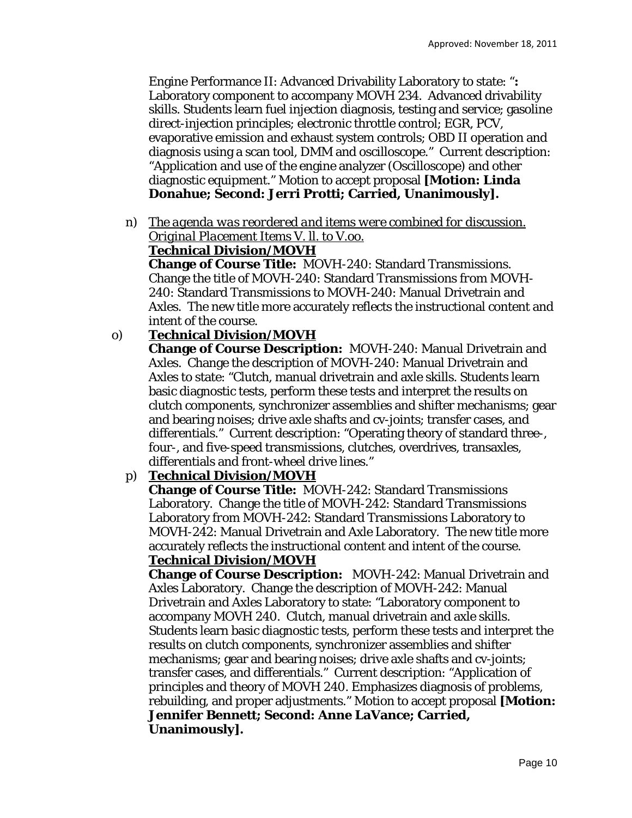Engine Performance II: Advanced Drivability Laboratory to state: "**:**  Laboratory component to accompany MOVH 234. Advanced drivability skills. Students learn fuel injection diagnosis, testing and service; gasoline direct-injection principles; electronic throttle control; EGR, PCV, evaporative emission and exhaust system controls; OBD II operation and diagnosis using a scan tool, DMM and oscilloscope." Current description: "Application and use of the engine analyzer (Oscilloscope) and other diagnostic equipment." Motion to accept proposal **[Motion: Linda Donahue; Second: Jerri Protti; Carried, Unanimously].**

n) *The agenda was reordered and items were combined for discussion. Original Placement Items V. ll. to V.oo.* 

# **Technical Division/MOVH**

**Change of Course Title:** MOVH-240: Standard Transmissions. Change the title of MOVH-240: Standard Transmissions *from* MOVH-240: Standard Transmissions *to* MOVH-240: Manual Drivetrain and Axles. The new title more accurately reflects the instructional content and intent of the course.

# o) **Technical Division/MOVH**

**Change of Course Description:** MOVH-240: Manual Drivetrain and Axles. Change the description of MOVH-240: Manual Drivetrain and Axles to state: "Clutch, manual drivetrain and axle skills. Students learn basic diagnostic tests, perform these tests and interpret the results on clutch components, synchronizer assemblies and shifter mechanisms; gear and bearing noises; drive axle shafts and cv-joints; transfer cases, and differentials." Current description: "Operating theory of standard three-, four-, and five-speed transmissions, clutches, overdrives, transaxles, differentials and front-wheel drive lines."

# p) **Technical Division/MOVH**

**Change of Course Title:** MOVH-242: Standard Transmissions Laboratory. Change the title of MOVH-242: Standard Transmissions Laboratory *from* MOVH-242: Standard Transmissions Laboratory *to* MOVH-242: Manual Drivetrain and Axle Laboratory. The new title more accurately reflects the instructional content and intent of the course. **Technical Division/MOVH** 

**Change of Course Description:** MOVH-242: Manual Drivetrain and Axles Laboratory. Change the description of MOVH-242: Manual Drivetrain and Axles Laboratory to state: "Laboratory component to accompany MOVH 240. Clutch, manual drivetrain and axle skills. Students learn basic diagnostic tests, perform these tests and interpret the results on clutch components, synchronizer assemblies and shifter mechanisms; gear and bearing noises; drive axle shafts and cv-joints; transfer cases, and differentials." Current description: "Application of principles and theory of MOVH 240. Emphasizes diagnosis of problems, rebuilding, and proper adjustments." Motion to accept proposal **[Motion: Jennifer Bennett; Second: Anne LaVance; Carried, Unanimously].**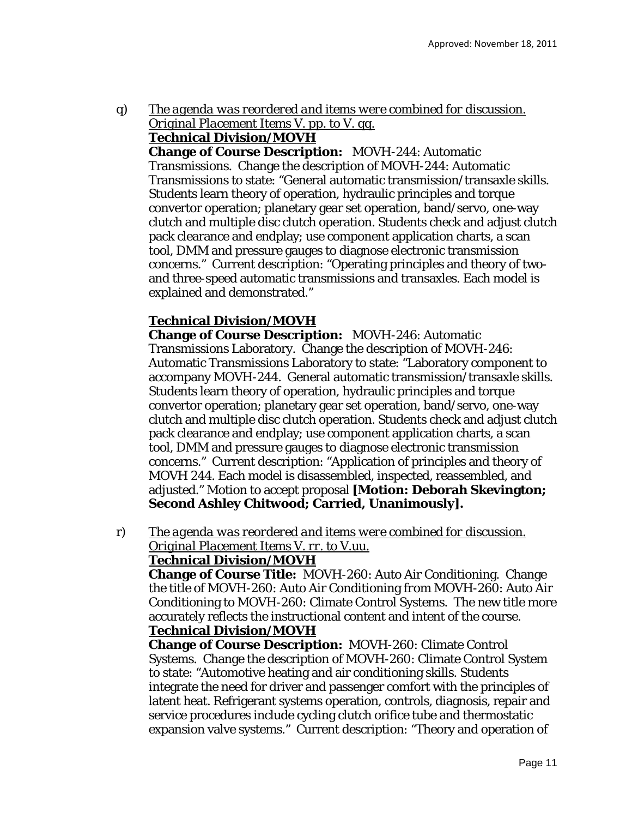q) *The agenda was reordered and items were combined for discussion. Original Placement Items V. pp. to V. qq.* 

# **Technical Division/MOVH**

**Change of Course Description:** MOVH-244: Automatic Transmissions. Change the description of MOVH-244: Automatic Transmissions to state: "General automatic transmission/transaxle skills. Students learn theory of operation, hydraulic principles and torque convertor operation; planetary gear set operation, band/servo, one-way clutch and multiple disc clutch operation. Students check and adjust clutch pack clearance and endplay; use component application charts, a scan tool, DMM and pressure gauges to diagnose electronic transmission concerns." Current description: "Operating principles and theory of twoand three-speed automatic transmissions and transaxles. Each model is explained and demonstrated."

# **Technical Division/MOVH**

**Change of Course Description:** MOVH-246: Automatic Transmissions Laboratory. Change the description of MOVH-246: Automatic Transmissions Laboratory to state: "Laboratory component to accompany MOVH-244. General automatic transmission/transaxle skills. Students learn theory of operation, hydraulic principles and torque convertor operation; planetary gear set operation, band/servo, one-way clutch and multiple disc clutch operation. Students check and adjust clutch pack clearance and endplay; use component application charts, a scan tool, DMM and pressure gauges to diagnose electronic transmission concerns." Current description: "Application of principles and theory of MOVH 244. Each model is disassembled, inspected, reassembled, and adjusted." Motion to accept proposal **[Motion: Deborah Skevington; Second Ashley Chitwood; Carried, Unanimously].**

r) *The agenda was reordered and items were combined for discussion. Original Placement Items V. rr. to V.uu.* 

## **Technical Division/MOVH**

**Change of Course Title:** MOVH-260: Auto Air Conditioning. Change the title of MOVH-260: Auto Air Conditioning *from* MOVH-260: Auto Air Conditioning *to* MOVH-260: Climate Control Systems. The new title more accurately reflects the instructional content and intent of the course. **Technical Division/MOVH** 

**Change of Course Description:** MOVH-260: Climate Control Systems. Change the description of MOVH-260: Climate Control System to state: "Automotive heating and air conditioning skills. Students integrate the need for driver and passenger comfort with the principles of latent heat. Refrigerant systems operation, controls, diagnosis, repair and service procedures include cycling clutch orifice tube and thermostatic expansion valve systems." Current description: "Theory and operation of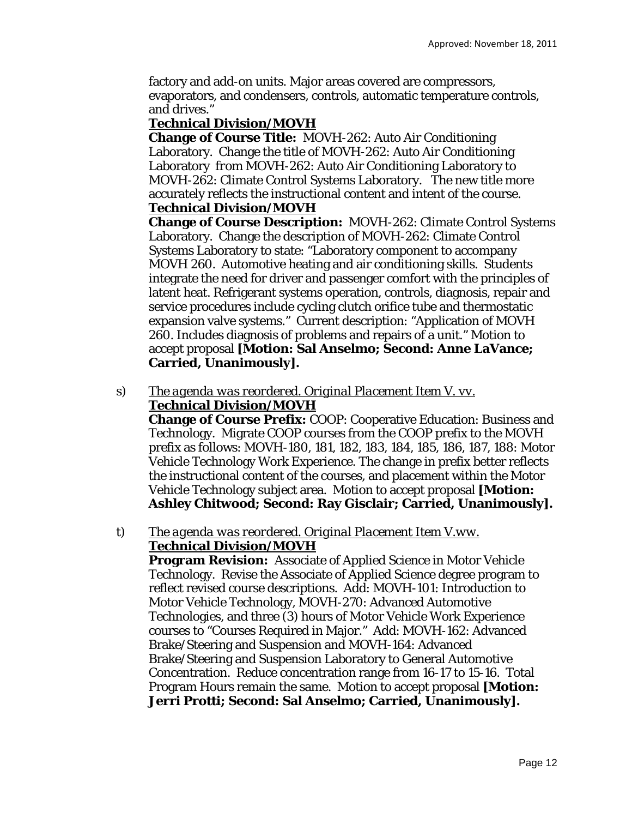factory and add-on units. Major areas covered are compressors, evaporators, and condensers, controls, automatic temperature controls, and drives."

## **Technical Division/MOVH**

**Change of Course Title:** MOVH-262: Auto Air Conditioning Laboratory. Change the title of MOVH-262: Auto Air Conditioning Laboratory *from* MOVH-262: Auto Air Conditioning Laboratory *to* MOVH-262: Climate Control Systems Laboratory. The new title more accurately reflects the instructional content and intent of the course. **Technical Division/MOVH** 

**Change of Course Description:** MOVH-262: Climate Control Systems Laboratory. Change the description of MOVH-262: Climate Control Systems Laboratory to state: "Laboratory component to accompany MOVH 260. Automotive heating and air conditioning skills. Students integrate the need for driver and passenger comfort with the principles of latent heat. Refrigerant systems operation, controls, diagnosis, repair and service procedures include cycling clutch orifice tube and thermostatic expansion valve systems." Current description: "Application of MOVH 260. Includes diagnosis of problems and repairs of a unit." Motion to accept proposal **[Motion: Sal Anselmo; Second: Anne LaVance; Carried, Unanimously].**

s) *The agenda was reordered. Original Placement Item V. vv.*  **Technical Division/MOVH** 

**Change of Course Prefix:** COOP: Cooperative Education: Business and Technology. Migrate COOP courses from the COOP prefix to the MOVH prefix as follows: MOVH-180, 181, 182, 183, 184, 185, 186, 187, 188: Motor Vehicle Technology Work Experience. The change in prefix better reflects the instructional content of the courses, and placement within the Motor Vehicle Technology subject area. Motion to accept proposal **[Motion: Ashley Chitwood; Second: Ray Gisclair; Carried, Unanimously].**

## t) *The agenda was reordered. Original Placement Item V.ww.*  **Technical Division/MOVH**

**Program Revision:** Associate of Applied Science in Motor Vehicle Technology. Revise the Associate of Applied Science degree program to reflect revised course descriptions. Add: MOVH-101: Introduction to Motor Vehicle Technology, MOVH-270: Advanced Automotive Technologies, and three (3) hours of Motor Vehicle Work Experience courses to "Courses Required in Major." Add: MOVH-162: Advanced Brake/Steering and Suspension and MOVH-164: Advanced Brake/Steering and Suspension Laboratory to General Automotive Concentration. Reduce concentration range from 16-17 to 15-16. Total Program Hours remain the same. Motion to accept proposal **[Motion: Jerri Protti; Second: Sal Anselmo; Carried, Unanimously].**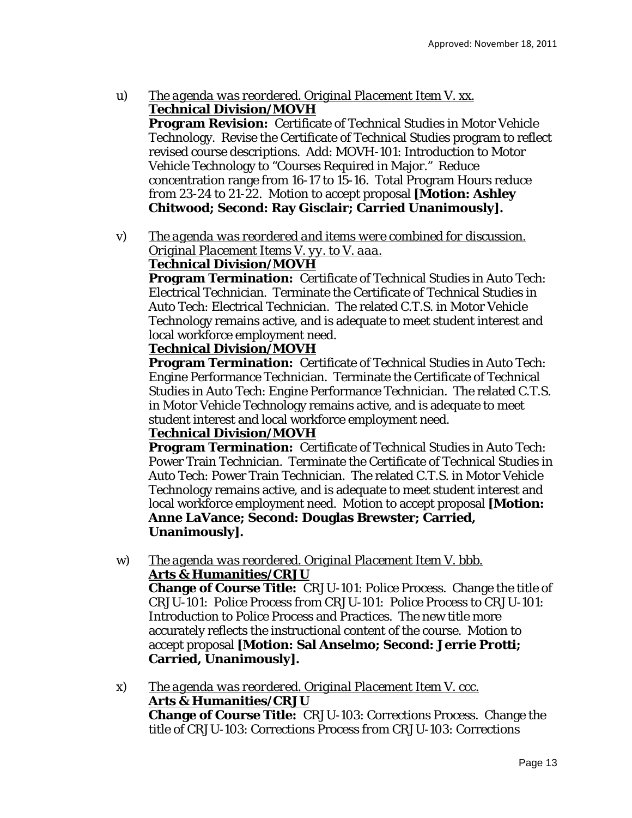- u) *The agenda was reordered. Original Placement Item V. xx.*  **Technical Division/MOVH Program Revision:** Certificate of Technical Studies in Motor Vehicle Technology. Revise the Certificate of Technical Studies program to reflect revised course descriptions. Add: MOVH-101: Introduction to Motor Vehicle Technology to "Courses Required in Major." Reduce concentration range from 16-17 to 15-16. Total Program Hours reduce *from* 23-24 *to* 21-22. Motion to accept proposal **[Motion: Ashley Chitwood; Second: Ray Gisclair; Carried Unanimously].**
- v) *The agenda was reordered and items were combined for discussion. Original Placement Items V. yy. to V. aaa.*

# **Technical Division/MOVH**

**Program Termination:** Certificate of Technical Studies in Auto Tech: Electrical Technician. Terminate the Certificate of Technical Studies in Auto Tech: Electrical Technician. The related C.T.S. in Motor Vehicle Technology remains active, and is adequate to meet student interest and local workforce employment need.

# **Technical Division/MOVH**

**Program Termination:** Certificate of Technical Studies in Auto Tech: Engine Performance Technician. Terminate the Certificate of Technical Studies in Auto Tech: Engine Performance Technician. The related C.T.S. in Motor Vehicle Technology remains active, and is adequate to meet student interest and local workforce employment need.

# **Technical Division/MOVH**

**Program Termination:** Certificate of Technical Studies in Auto Tech: Power Train Technician. Terminate the Certificate of Technical Studies in Auto Tech: Power Train Technician. The related C.T.S. in Motor Vehicle Technology remains active, and is adequate to meet student interest and local workforce employment need. Motion to accept proposal **[Motion: Anne LaVance; Second: Douglas Brewster; Carried, Unanimously].**

w) *The agenda was reordered. Original Placement Item V. bbb.*  **Arts & Humanities/CRJU Change of Course Title:** CRJU-101: Police Process. Change the title of CRJU-101: Police Process *from* CRJU-101: Police Process *to* CRJU-101:

Introduction to Police Process and Practices. The new title more accurately reflects the instructional content of the course. Motion to accept proposal **[Motion: Sal Anselmo; Second: Jerrie Protti; Carried, Unanimously].**

x) *The agenda was reordered. Original Placement Item V. ccc.*  **Arts & Humanities/CRJU Change of Course Title:** CRJU-103: Corrections Process. Change the title of CRJU-103: Corrections Process *from* CRJU-103: Corrections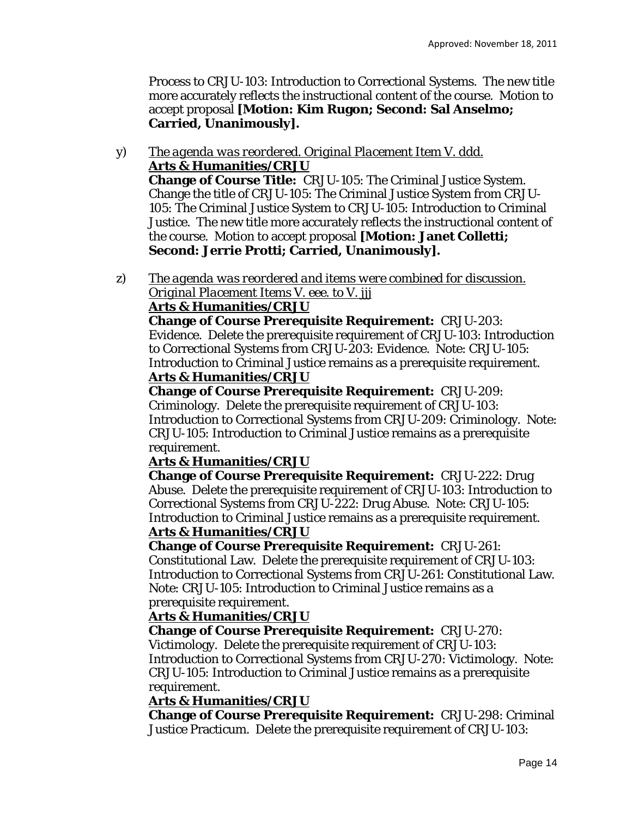Process *to* CRJU-103: Introduction to Correctional Systems. The new title more accurately reflects the instructional content of the course. Motion to accept proposal **[Motion: Kim Rugon; Second: Sal Anselmo; Carried, Unanimously].**

- y) *The agenda was reordered. Original Placement Item V. ddd.*  **Arts & Humanities/CRJU Change of Course Title:** CRJU-105: The Criminal Justice System. Change the title of CRJU-105: The Criminal Justice System *from* CRJU-105: The Criminal Justice System *to* CRJU-105: Introduction to Criminal Justice. The new title more accurately reflects the instructional content of the course. Motion to accept proposal **[Motion: Janet Colletti; Second: Jerrie Protti; Carried, Unanimously].**
- z) *The agenda was reordered and items were combined for discussion. Original Placement Items V. eee. to V. jjj*

# **Arts & Humanities/CRJU**

**Change of Course Prerequisite Requirement:** CRJU-203: Evidence. Delete the prerequisite requirement of CRJU-103: Introduction to Correctional Systems from CRJU-203: Evidence. Note: CRJU-105: Introduction to Criminal Justice remains as a prerequisite requirement. **Arts & Humanities/CRJU** 

**Change of Course Prerequisite Requirement:** CRJU-209: Criminology. Delete the prerequisite requirement of CRJU-103: Introduction to Correctional Systems from CRJU-209: Criminology. Note: CRJU-105: Introduction to Criminal Justice remains as a prerequisite requirement.

# **Arts & Humanities/CRJU**

**Change of Course Prerequisite Requirement:** CRJU-222: Drug Abuse. Delete the prerequisite requirement of CRJU-103: Introduction to Correctional Systems from CRJU-222: Drug Abuse. Note: CRJU-105: Introduction to Criminal Justice remains as a prerequisite requirement. **Arts & Humanities/CRJU** 

# **Change of Course Prerequisite Requirement:** CRJU-261:

Constitutional Law. Delete the prerequisite requirement of CRJU-103: Introduction to Correctional Systems from CRJU-261: Constitutional Law. Note: CRJU-105: Introduction to Criminal Justice remains as a prerequisite requirement.

# **Arts & Humanities/CRJU**

**Change of Course Prerequisite Requirement:** CRJU-270:

Victimology. Delete the prerequisite requirement of CRJU-103: Introduction to Correctional Systems from CRJU-270: Victimology. Note: CRJU-105: Introduction to Criminal Justice remains as a prerequisite requirement.

# **Arts & Humanities/CRJU**

**Change of Course Prerequisite Requirement:** CRJU-298: Criminal Justice Practicum. Delete the prerequisite requirement of CRJU-103: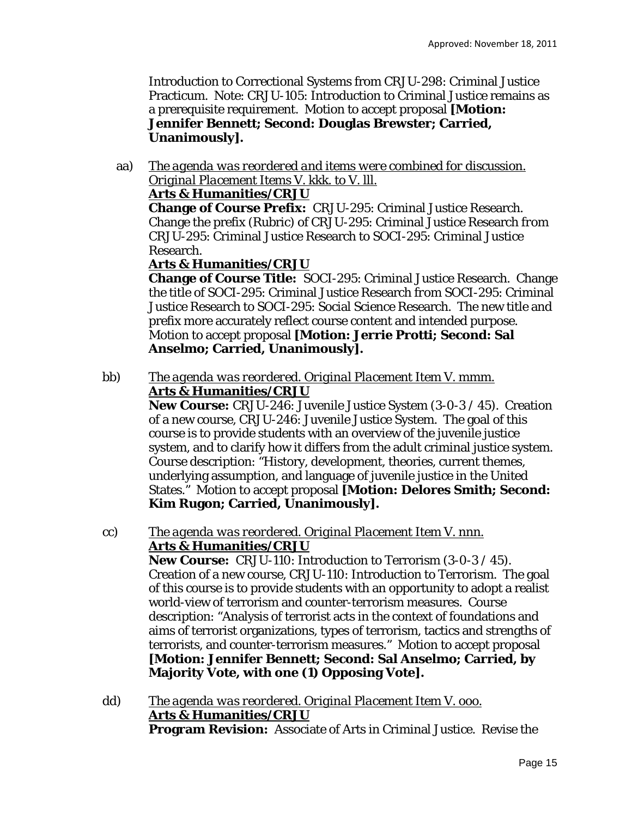Introduction to Correctional Systems from CRJU-298: Criminal Justice Practicum. Note: CRJU-105: Introduction to Criminal Justice remains as a prerequisite requirement. Motion to accept proposal **[Motion: Jennifer Bennett; Second: Douglas Brewster; Carried, Unanimously].**

aa) *The agenda was reordered and items were combined for discussion. Original Placement Items V. kkk. to V. lll.* 

# **Arts & Humanities/CRJU**

**Change of Course Prefix:** CRJU-295: Criminal Justice Research. Change the prefix (Rubric) of CRJU-295: Criminal Justice Research *from* CRJU-295: Criminal Justice Research *to* SOCI-295: Criminal Justice Research.

# **Arts & Humanities/CRJU**

**Change of Course Title:** SOCI-295: Criminal Justice Research. Change the title of SOCI-295: Criminal Justice Research *from* SOCI-295: Criminal Justice Research *to* SOCI-295: Social Science Research. The new title and prefix more accurately reflect course content and intended purpose. Motion to accept proposal **[Motion: Jerrie Protti; Second: Sal Anselmo; Carried, Unanimously].**

bb) *The agenda was reordered. Original Placement Item V. mmm.*  **Arts & Humanities/CRJU** 

**New Course:** CRJU-246: Juvenile Justice System (3-0-3 / 45). Creation of a new course, CRJU-246: Juvenile Justice System. The goal of this course is to provide students with an overview of the juvenile justice system, and to clarify how it differs from the adult criminal justice system. Course description: "History, development, theories, current themes, underlying assumption, and language of juvenile justice in the United States." Motion to accept proposal **[Motion: Delores Smith; Second: Kim Rugon; Carried, Unanimously].**

- cc) *The agenda was reordered. Original Placement Item V. nnn.*  **Arts & Humanities/CRJU New Course:** CRJU-110: Introduction to Terrorism (3-0-3 / 45). Creation of a new course, CRJU-110: Introduction to Terrorism. The goal of this course is to provide students with an opportunity to adopt a realist world-view of terrorism and counter-terrorism measures. Course description: "Analysis of terrorist acts in the context of foundations and aims of terrorist organizations, types of terrorism, tactics and strengths of terrorists, and counter-terrorism measures." Motion to accept proposal **[Motion: Jennifer Bennett; Second: Sal Anselmo; Carried, by Majority Vote, with one (1) Opposing Vote].**
- dd) *The agenda was reordered. Original Placement Item V. ooo.*  **Arts & Humanities/CRJU Program Revision:** Associate of Arts in Criminal Justice. Revise the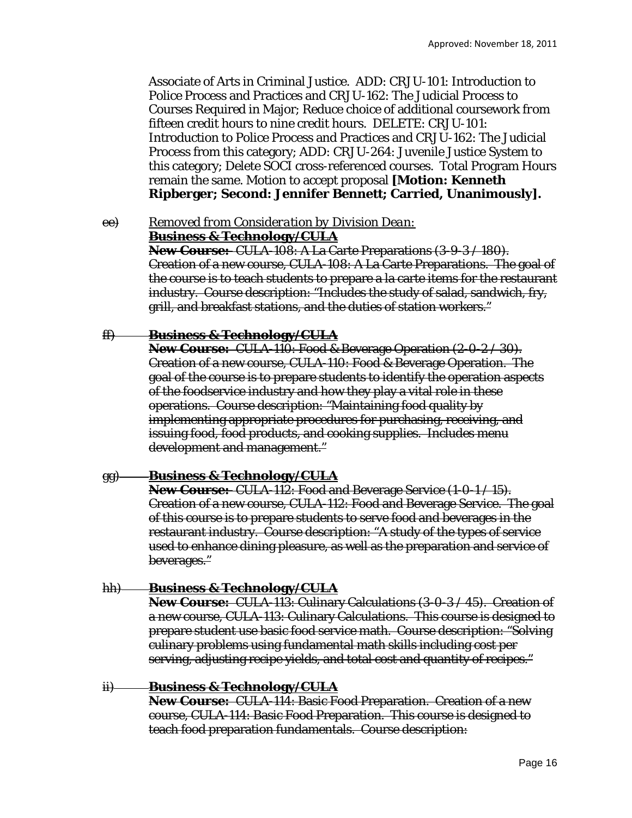Associate of Arts in Criminal Justice. ADD: CRJU-101: Introduction to Police Process and Practices and CRJU-162: The Judicial Process to Courses Required in Major; Reduce choice of additional coursework *from* fifteen credit hours *to* nine credit hours. DELETE: CRJU-101: Introduction to Police Process and Practices and CRJU-162: The Judicial Process from this category; ADD: CRJU-264: Juvenile Justice System to this category; Delete SOCI cross-referenced courses. Total Program Hours remain the same. Motion to accept proposal **[Motion: Kenneth Ripberger; Second: Jennifer Bennett; Carried, Unanimously].**

ee) *Removed from Consideration by Division Dean:*

**Business & Technology/CULA** 

**New Course:** CULA-108: A La Carte Preparations (3-9-3 / 180). Creation of a new course, CULA-108: A La Carte Preparations. The goal of the course is to teach students to prepare a la carte items for the restaurant industry. Course description: "Includes the study of salad, sandwich, fry, grill, and breakfast stations, and the duties of station workers."

## ff) **Business & Technology/CULA**

**New Course:** CULA 110: Food & Beverage Operation (2-0-2/30). Creation of a new course, CULA-110: Food & Beverage Operation. The goal of the course is to prepare students to identify the operation aspects of the foodservice industry and how they play a vital role in these operations. Course description: "Maintaining food quality by implementing appropriate procedures for purchasing, receiving, and issuing food, food products, and cooking supplies. Includes menu development and management."

#### gg) **Business & Technology/CULA**

**New Course:** CULA-112: Food and Beverage Service (1-0-1 / 15). Creation of a new course, CULA-112: Food and Beverage Service. The goal of this course is to prepare students to serve food and beverages in the restaurant industry. Course description: "A study of the types of service used to enhance dining pleasure, as well as the preparation and service of beverages."

## hh) **Business & Technology/CULA**

**New Course:** CULA-113: Culinary Calculations (3-0-3 / 45). Creation of a new course, CULA-113: Culinary Calculations. This course is designed to prepare student use basic food service math. Course description: "Solving culinary problems using fundamental math skills including cost per serving, adjusting recipe yields, and total cost and quantity of recipes."

#### ii) **Business & Technology/CULA**

**New Course:** CULA-114: Basic Food Preparation. Creation of a new course, CULA-114: Basic Food Preparation. This course is designed to teach food preparation fundamentals. Course description: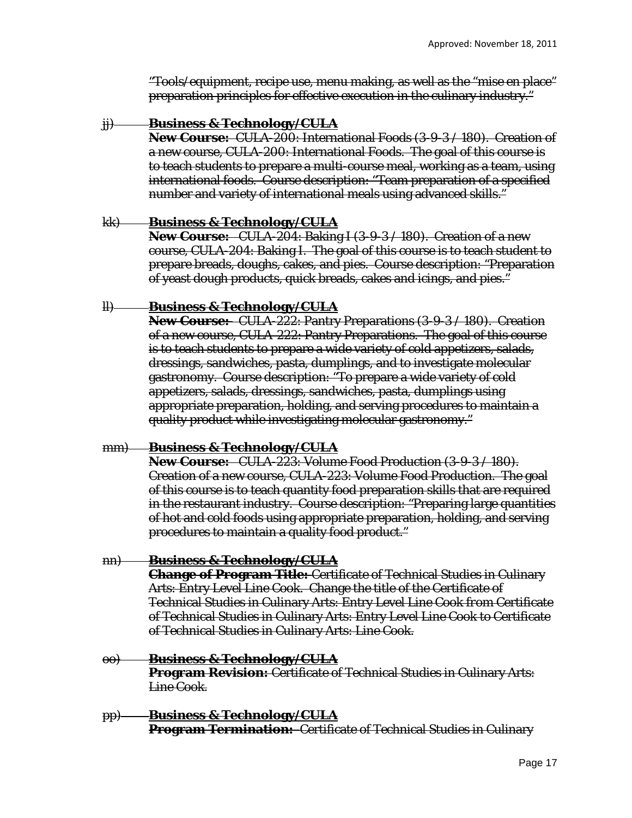"Tools/equipment, recipe use, menu making, as well as the "mise en place" preparation principles for effective execution in the culinary industry."

#### jj) **Business & Technology/CULA**

**New Course:** CULA-200: International Foods (3-9-3 / 180). Creation of a new course, CULA-200: International Foods. The goal of this course is to teach students to prepare a multi-course meal, working as a team, using international foods. Course description: "Team preparation of a specified number and variety of international meals using advanced skills."

#### kk) **Business & Technology/CULA**

**New Course:** CULA 204: Baking I (3-9-3 / 180). Creation of a new course, CULA-204: Baking I. The goal of this course is to teach student to prepare breads, doughs, cakes, and pies. Course description: "Preparation of yeast dough products, quick breads, cakes and icings, and pies."

## ll) **Business & Technology/CULA**

**New Course:** CULA-222: Pantry Preparations (3-9-3 / 180). Creation of a new course, CULA-222: Pantry Preparations. The goal of this course is to teach students to prepare a wide variety of cold appetizers, salads, dressings, sandwiches, pasta, dumplings, and to investigate molecular gastronomy. Course description: "To prepare a wide variety of cold appetizers, salads, dressings, sandwiches, pasta, dumplings using appropriate preparation, holding, and serving procedures to maintain a quality product while investigating molecular gastronomy."

## mm) **Business & Technology/CULA**

**New Course:** CULA 223: Volume Food Production (3-9-3/180). Creation of a new course, CULA-223: Volume Food Production. The goal of this course is to teach quantity food preparation skills that are required in the restaurant industry. Course description: "Preparing large quantities of hot and cold foods using appropriate preparation, holding, and serving procedures to maintain a quality food product."

## nn) **Business & Technology/CULA**

**Change of Program Title:** Certificate of Technical Studies in Culinary Arts: Entry Level Line Cook. Change the title of the Certificate of Technical Studies in Culinary Arts: Entry Level Line Cook *from* Certificate of Technical Studies in Culinary Arts: Entry Level Line Cook *to* Certificate of Technical Studies in Culinary Arts: Line Cook.

#### oo) **Business & Technology/CULA**

**Program Revision:** Certificate of Technical Studies in Culinary Arts: Line Cook.

pp) **Business & Technology/CULA Program Termination:** Certificate of Technical Studies in Culinary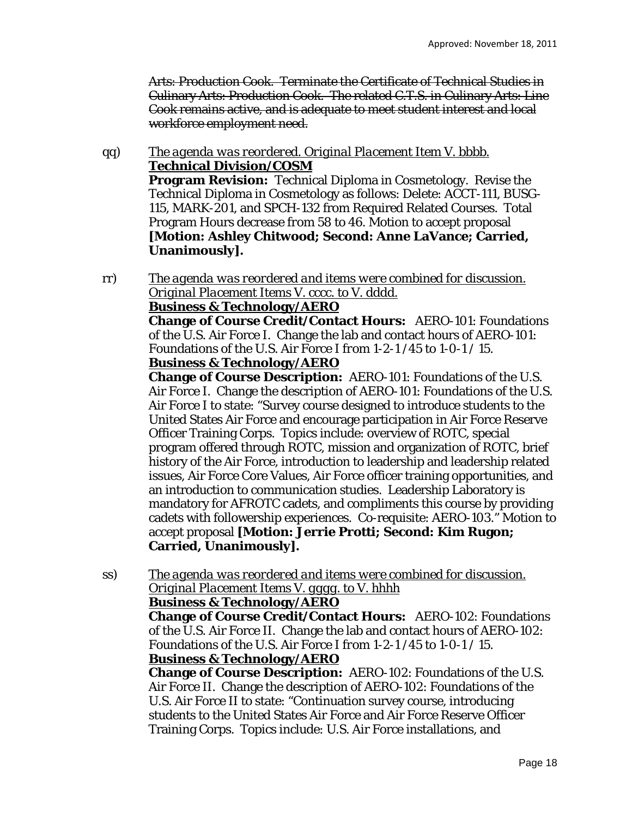Arts: Production Cook. Terminate the Certificate of Technical Studies in Culinary Arts: Production Cook. The related C.T.S. in Culinary Arts: Line Cook remains active, and is adequate to meet student interest and local workforce employment need.

- qq) *The agenda was reordered. Original Placement Item V. bbbb.*  **Technical Division/COSM Program Revision:** Technical Diploma in Cosmetology. Revise the Technical Diploma in Cosmetology as follows: Delete: ACCT-111, BUSG-115, MARK-201, and SPCH-132 from Required Related Courses. Total Program Hours decrease *from* 58 *to* 46. Motion to accept proposal **[Motion: Ashley Chitwood; Second: Anne LaVance; Carried, Unanimously].**
- rr) *The agenda was reordered and items were combined for discussion. Original Placement Items V. cccc. to V. dddd.*

## **Business & Technology/AERO**

**Change of Course Credit/Contact Hours:** AERO-101: Foundations of the U.S. Air Force I. Change the lab and contact hours of AERO-101: Foundations of the U.S. Air Force I *from* 1-2-1 /45 *to* 1-0-1 / 15.

## **Business & Technology/AERO**

**Change of Course Description:** AERO-101: Foundations of the U.S. Air Force I. Change the description of AERO-101: Foundations of the U.S. Air Force I to state: "Survey course designed to introduce students to the United States Air Force and encourage participation in Air Force Reserve Officer Training Corps. Topics include: overview of ROTC, special program offered through ROTC, mission and organization of ROTC, brief history of the Air Force, introduction to leadership and leadership related issues, Air Force Core Values, Air Force officer training opportunities, and an introduction to communication studies. Leadership Laboratory is mandatory for AFROTC cadets, and compliments this course by providing cadets with followership experiences. Co-requisite: AERO-103." Motion to accept proposal **[Motion: Jerrie Protti; Second: Kim Rugon; Carried, Unanimously].**

ss) *The agenda was reordered and items were combined for discussion. Original Placement Items V. gggg. to V. hhhh* 

## **Business & Technology/AERO**

**Change of Course Credit/Contact Hours:** AERO-102: Foundations of the U.S. Air Force II. Change the lab and contact hours of AERO-102: Foundations of the U.S. Air Force I *from* 1-2-1 /45 *to* 1-0-1 / 15. **Business & Technology/AERO** 

**Change of Course Description:** AERO-102: Foundations of the U.S. Air Force II. Change the description of AERO-102: Foundations of the U.S. Air Force II to state: "Continuation survey course, introducing students to the United States Air Force and Air Force Reserve Officer Training Corps. Topics include: U.S. Air Force installations, and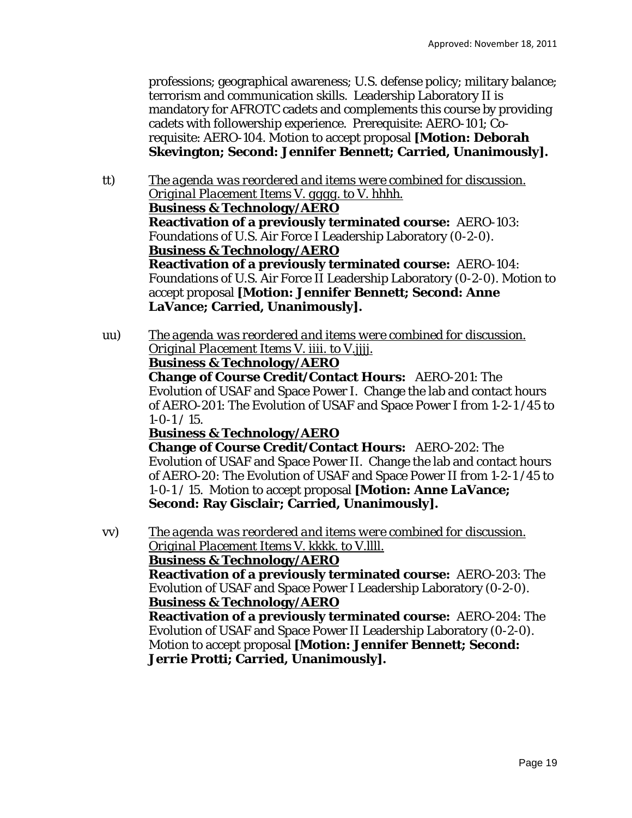professions; geographical awareness; U.S. defense policy; military balance; terrorism and communication skills. Leadership Laboratory II is mandatory for AFROTC cadets and complements this course by providing cadets with followership experience. Prerequisite: AERO-101; Corequisite: AERO-104. Motion to accept proposal **[Motion: Deborah Skevington; Second: Jennifer Bennett; Carried, Unanimously].**

- tt) *The agenda was reordered and items were combined for discussion. Original Placement Items V. gggg. to V. hhhh.*  **Business & Technology/AERO Reactivation of a previously terminated course:** AERO-103: Foundations of U.S. Air Force I Leadership Laboratory (0-2-0). **Business & Technology/AERO Reactivation of a previously terminated course:** AERO-104: Foundations of U.S. Air Force II Leadership Laboratory (0-2-0). Motion to accept proposal **[Motion: Jennifer Bennett; Second: Anne LaVance; Carried, Unanimously].**
- uu) *The agenda was reordered and items were combined for discussion. Original Placement Items V. iiii. to V.jjjj.*  **Business & Technology/AERO Change of Course Credit/Contact Hours:** AERO-201: The Evolution of USAF and Space Power I. Change the lab and contact hours of AERO-201: The Evolution of USAF and Space Power I *from* 1-2-1 /45 *to*   $1 - 0 - 1 / 15$ . **Business & Technology/AERO Change of Course Credit/Contact Hours:** AERO-202: The Evolution of USAF and Space Power II. Change the lab and contact hours

of AERO-20: The Evolution of USAF and Space Power II *from* 1-2-1 /45 *to*  1-0-1 / 15. Motion to accept proposal **[Motion: Anne LaVance; Second: Ray Gisclair; Carried, Unanimously].**

vv) *The agenda was reordered and items were combined for discussion. Original Placement Items V. kkkk. to V.llll.* 

## **Business & Technology/AERO**

**Reactivation of a previously terminated course:** AERO-203: The Evolution of USAF and Space Power I Leadership Laboratory (0-2-0). **Business & Technology/AERO** 

**Reactivation of a previously terminated course:** AERO-204: The Evolution of USAF and Space Power II Leadership Laboratory (0-2-0). Motion to accept proposal **[Motion: Jennifer Bennett; Second: Jerrie Protti; Carried, Unanimously].**